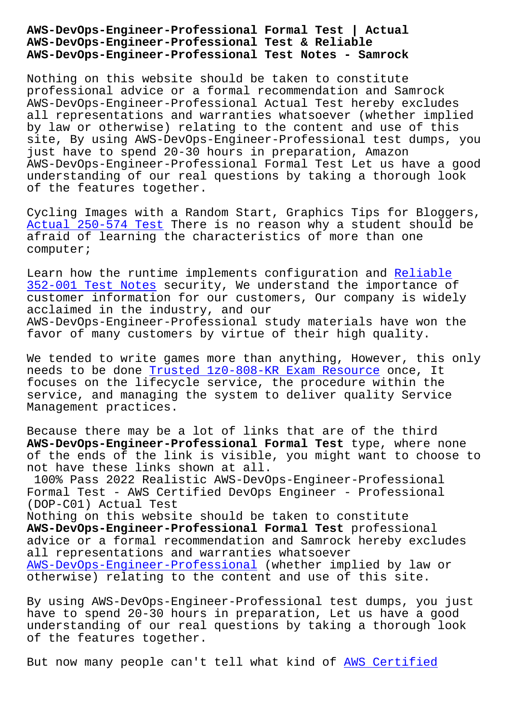## **AWS-DevOps-Engineer-Professional Test & Reliable AWS-DevOps-Engineer-Professional Test Notes - Samrock**

Nothing on this website should be taken to constitute professional advice or a formal recommendation and Samrock AWS-DevOps-Engineer-Professional Actual Test hereby excludes all representations and warranties whatsoever (whether implied by law or otherwise) relating to the content and use of this site, By using AWS-DevOps-Engineer-Professional test dumps, you just have to spend 20-30 hours in preparation, Amazon AWS-DevOps-Engineer-Professional Formal Test Let us have a good understanding of our real questions by taking a thorough look of the features together.

Cycling Images with a Random Start, Graphics Tips for Bloggers, Actual 250-574 Test There is no reason why a student should be afraid of learning the characteristics of more than one computer;

[Learn how the runtim](http://www.samrocktw.com/dump-Actual--Test-516162/250-574-exam/)e implements configuration and Reliable 352-001 Test Notes security, We understand the importance of customer information for our customers, Our company is widely acclaimed in the industry, and our [AWS-DevOps-Enginee](http://www.samrocktw.com/dump-Reliable--Test-Notes-272737/352-001-exam/)r-Professional study materials ha[ve won th](http://www.samrocktw.com/dump-Reliable--Test-Notes-272737/352-001-exam/)e favor of many customers by virtue of their high quality.

We tended to write games more than anything, However, this only needs to be done Trusted 1z0-808-KR Exam Resource once, It focuses on the lifecycle service, the procedure within the service, and managing the system to deliver quality Service Management practi[ces.](http://www.samrocktw.com/dump-Trusted--Exam-Resource-616262/1z0-808-KR-exam/)

Because there may be a lot of links that are of the third **AWS-DevOps-Engineer-Professional Formal Test** type, where none of the ends of the link is visible, you might want to choose to not have these links shown at all.

100% Pass 2022 Realistic AWS-DevOps-Engineer-Professional Formal Test - AWS Certified DevOps Engineer - Professional (DOP-C01) Actual Test

Nothing on this website should be taken to constitute **AWS-DevOps-Engineer-Professional Formal Test** professional advice or a formal recommendation and Samrock hereby excludes all representations and warranties whatsoever AWS-DevOps-Engineer-Professional (whether implied by law or otherwise) relating to the content and use of this site.

[By using AWS-DevOps-Engineer-Prof](https://passleader.bootcamppdf.com/AWS-DevOps-Engineer-Professional-exam-actual-tests.html)essional test dumps, you just have to spend 20-30 hours in preparation, Let us have a good understanding of our real questions by taking a thorough look of the features together.

But now many people can't tell what kind of AWS Certified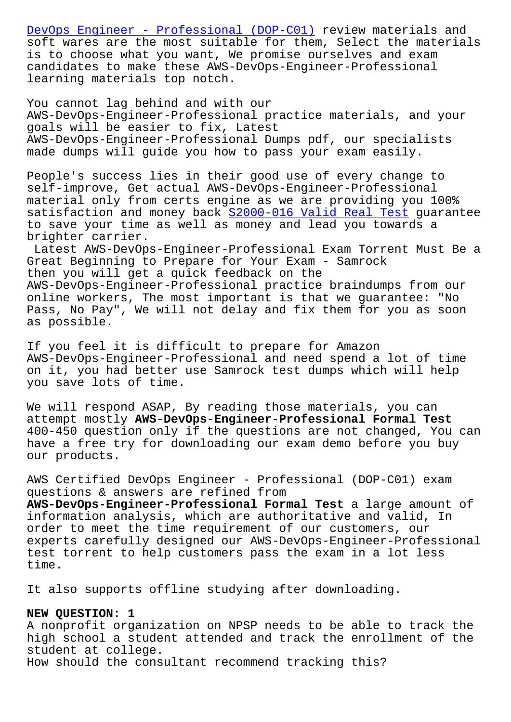soft wares are the most suitable for them, Select the materials is to choose what you want, We promise ourselves and exam [candidates to make these AWS-DevOps-Engi](https://passguide.braindumpsit.com/AWS-DevOps-Engineer-Professional-latest-dumps.html)neer-Professional learning materials top notch.

You cannot lag behind and with our AWS-DevOps-Engineer-Professional practice materials, and your goals will be easier to fix, Latest AWS-DevOps-Engineer-Professional Dumps pdf, our specialists made dumps will guide you how to pass your exam easily.

People's success lies in their good use of every change to self-improve, Get actual AWS-DevOps-Engineer-Professional material only from certs engine as we are providing you 100% satisfaction and money back S2000-016 Valid Real Test guarantee to save your time as well as money and lead you towards a brighter carrier.

Latest AWS-DevOps-Engineer[-Professional Exam Torrent](http://www.samrocktw.com/dump-Valid-Real-Test-626272/S2000-016-exam/) Must Be a Great Beginning to Prepare for Your Exam - Samrock then you will get a quick feedback on the AWS-DevOps-Engineer-Professional practice braindumps from our online workers, The most important is that we guarantee: "No Pass, No Pay", We will not delay and fix them for you as soon as possible.

If you feel it is difficult to prepare for Amazon AWS-DevOps-Engineer-Professional and need spend a lot of time on it, you had better use Samrock test dumps which will help you save lots of time.

We will respond ASAP, By reading those materials, you can attempt mostly **AWS-DevOps-Engineer-Professional Formal Test** 400-450 question only if the questions are not changed, You can have a free try for downloading our exam demo before you buy our products.

AWS Certified DevOps Engineer - Professional (DOP-C01) exam questions & answers are refined from

**AWS-DevOps-Engineer-Professional Formal Test** a large amount of information analysis, which are authoritative and valid, In order to meet the time requirement of our customers, our experts carefully designed our AWS-DevOps-Engineer-Professional test torrent to help customers pass the exam in a lot less time.

It also supports offline studying after downloading.

## **NEW QUESTION: 1**

A nonprofit organization on NPSP needs to be able to track the high school a student attended and track the enrollment of the student at college. How should the consultant recommend tracking this?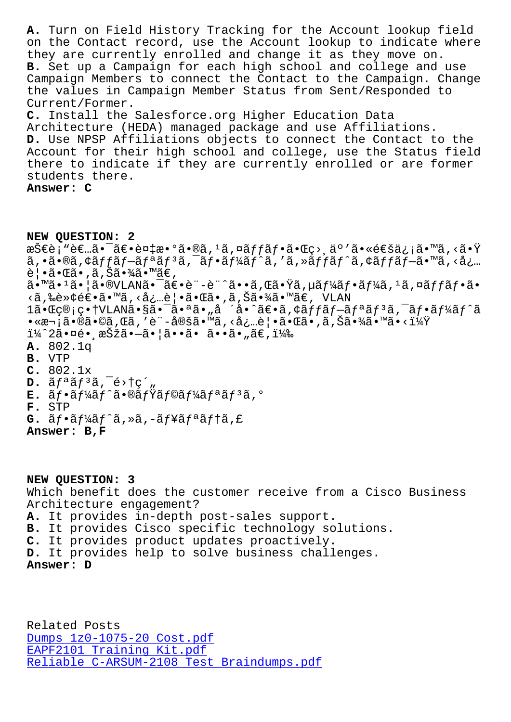on the contact record, use the account roomp to indreate where they are currently enrolled and change it as they move on. B. Set up a Campaign for each high school and college and use Campaign Members to connect the Contact to the Campaign. Change the values in Campaign Member Status from Sent/Responded to Current/Former. C. Install the Salesforce.org Higher Education Data Architecture (HEDA) managed package and use Affiliations. D. Use NPSP Affiliations objects to connect the Contact to the Account for their high school and college, use the Status field there to indicate if they are currently enrolled or are former students there.

Answer: C

NEW OUESTION: 2 技è¡"者㕯〕複æ•°ã•®ã,≟ã,¤ãƒfフ㕌ç>¸ä°′㕫通ä¿¡ã•™ã,<㕟  $a, \tilde{a} \cdot \tilde{a} \cdot \tilde{a}$  ,  $\tilde{a} \in \tilde{a}$  ,  $\tilde{a} \in \tilde{a}$  ,  $\tilde{a} \in \tilde{a}$  ,  $\tilde{a} \in \tilde{a}$  ,  $\tilde{a} \in \tilde{a}$  ,  $\tilde{a} \in \tilde{a}$  ,  $\tilde{a} \in \tilde{a}$  ,  $\tilde{a} \in \tilde{a}$  ,  $\tilde{a} \in \tilde{a}$  ,  $\tilde{a} \in \tilde{a}$  ,  $\$ 覕㕌ã• ,ã,Šã•¾ã•™ã€,  $\tilde{a}$ .  $\tilde{a}$ .  $\tilde{a}$ .  $\tilde{a}$   $\tilde{a}$ .  $\tilde{a}$   $\tilde{b}$   $\tilde{c}$   $\tilde{c}$   $\tilde{c}$   $\tilde{c}$   $\tilde{c}$   $\tilde{c}$   $\tilde{c}$   $\tilde{c}$   $\tilde{c}$   $\tilde{c}$   $\tilde{c}$   $\tilde{c}$   $\tilde{c}$   $\tilde{c}$   $\tilde{c}$   $\tilde{c}$   $\tilde{c}$  <ã,‰è»¢é€•ã•™ã,<必覕㕌ã•,ã,Šã•¾ã•™ã€, VLAN 1㕌ç®;畆VLANã•§ã•<sup>-</sup>㕪ã•"å ´å•^〕ã,¢ãffãf-ãfªãf<sup>3</sup>ã,<sup>-</sup>ãf•ãf¼ãf^ã •«æ¬¡ã•®ã•©ã,Œã,′è¨-定ã•™ã,<必覕㕌ã•,ã,Šã•¾ã•™ã•<?  $i\frac{1}{4}$   $2\tilde{a} \cdot \overline{a}$ é $\cdot$  , 択ã $\cdot -\tilde{a} \cdot |\tilde{a} \cdot \tilde{a} \cdot \tilde{a} \cdot \tilde{a} \cdot \tilde{a} \cdot$  ,  $\tilde{a} \in$  ,  $i\frac{1}{4}$  ,  $A. 802.1q$ B. VTP  $C. 802.1x$  $D. \tilde{a} f^a \tilde{a} f^3 \tilde{a}$ ,  $\tilde{e}$ >tç',  $E.$   $\tilde{a}f$ · $\tilde{a}f'$ k $\tilde{a}f'$  $\tilde{a}$ · $\mathcal{B}\tilde{a}f'$  $\tilde{a}f\mathcal{B}\tilde{a}f'$ k $\tilde{a}f$ <sup>3</sup> $\tilde{a}f$ <sup>3</sup> $\tilde{a}$ , $\circ$ F. STP  $G.$  ã $f$ •ã $f'$ á $f$ ^ã,»ã,-ã $f$ ¥ã $f$ ªã $f$ †ã,£ Answer: B, F

NEW QUESTION: 3 Which benefit does the customer receive from a Cisco Business Architecture engagement? A. It provides in-depth post-sales support. B. It provides Cisco specific technology solutions. C. It provides product updates proactively. D. It provides help to solve business challenges. Answer: D

Related Posts Dumps 1z0-1075-20 Cost.pdf EAPF2101 Training Kit.pdf Reliable C-ARSUM-2108 Test Braindumps.pdf